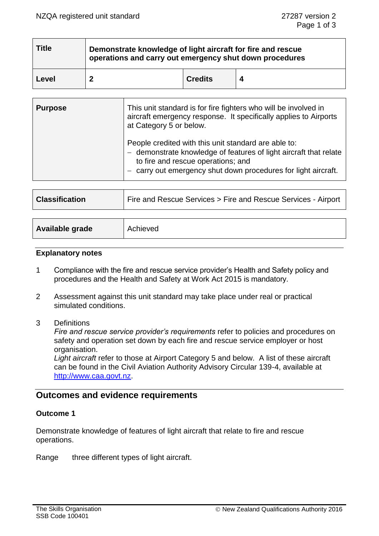| <b>Title</b> | Demonstrate knowledge of light aircraft for fire and rescue<br>operations and carry out emergency shut down procedures |                |  |
|--------------|------------------------------------------------------------------------------------------------------------------------|----------------|--|
| Level        |                                                                                                                        | <b>Credits</b> |  |

| <b>Purpose</b> | This unit standard is for fire fighters who will be involved in<br>aircraft emergency response. It specifically applies to Airports<br>at Category 5 or below.                                                                  |
|----------------|---------------------------------------------------------------------------------------------------------------------------------------------------------------------------------------------------------------------------------|
|                | People credited with this unit standard are able to:<br>- demonstrate knowledge of features of light aircraft that relate<br>to fire and rescue operations; and<br>carry out emergency shut down procedures for light aircraft. |

| <b>Classification</b> | Fire and Rescue Services > Fire and Rescue Services - Airport |  |
|-----------------------|---------------------------------------------------------------|--|
|                       |                                                               |  |
| Available grade       | Achieved                                                      |  |

#### **Explanatory notes**

- 1 Compliance with the fire and rescue service provider's Health and Safety policy and procedures and the Health and Safety at Work Act 2015 is mandatory.
- 2 Assessment against this unit standard may take place under real or practical simulated conditions.
- 3 Definitions

*Fire and rescue service provider's requirements* refer to policies and procedures on safety and operation set down by each fire and rescue service employer or host organisation.

*Light aircraft* refer to those at Airport Category 5 and below. A list of these aircraft can be found in the Civil Aviation Authority Advisory Circular 139-4, available at [http://www.caa.govt.nz.](http://www.caa.govt.nz/)

# **Outcomes and evidence requirements**

## **Outcome 1**

Demonstrate knowledge of features of light aircraft that relate to fire and rescue operations.

Range three different types of light aircraft.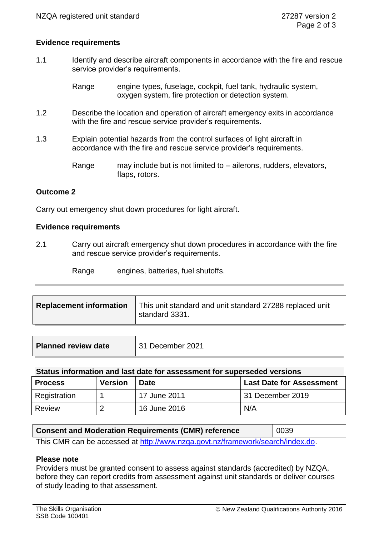## **Evidence requirements**

1.1 Identify and describe aircraft components in accordance with the fire and rescue service provider's requirements.

> Range engine types, fuselage, cockpit, fuel tank, hydraulic system, oxygen system, fire protection or detection system.

- 1.2 Describe the location and operation of aircraft emergency exits in accordance with the fire and rescue service provider's requirements.
- 1.3 Explain potential hazards from the control surfaces of light aircraft in accordance with the fire and rescue service provider's requirements.

Range may include but is not limited to – ailerons, rudders, elevators, flaps, rotors.

## **Outcome 2**

Carry out emergency shut down procedures for light aircraft.

#### **Evidence requirements**

2.1 Carry out aircraft emergency shut down procedures in accordance with the fire and rescue service provider's requirements.

Range engines, batteries, fuel shutoffs.

| <b>Replacement information</b> | This unit standard and unit standard 27288 replaced unit<br>standard 3331. |
|--------------------------------|----------------------------------------------------------------------------|
|                                |                                                                            |

| <b>Planned review date</b> | 31 December 2021 |
|----------------------------|------------------|
|                            |                  |

#### **Status information and last date for assessment for superseded versions**

| <b>Process</b> | <b>Version</b> | <b>Date</b>  | <b>Last Date for Assessment</b> |
|----------------|----------------|--------------|---------------------------------|
| Registration   |                | 17 June 2011 | 31 December 2019                |
| Review         | ◠              | 16 June 2016 | N/A                             |

| <b>Consent and Moderation Requirements (CMR) reference</b>                     | 0039 |  |
|--------------------------------------------------------------------------------|------|--|
| This CMR can be accessed at http://www.nzga.govt.nz/framework/search/index.do. |      |  |

## **Please note**

Providers must be granted consent to assess against standards (accredited) by NZQA, before they can report credits from assessment against unit standards or deliver courses of study leading to that assessment.